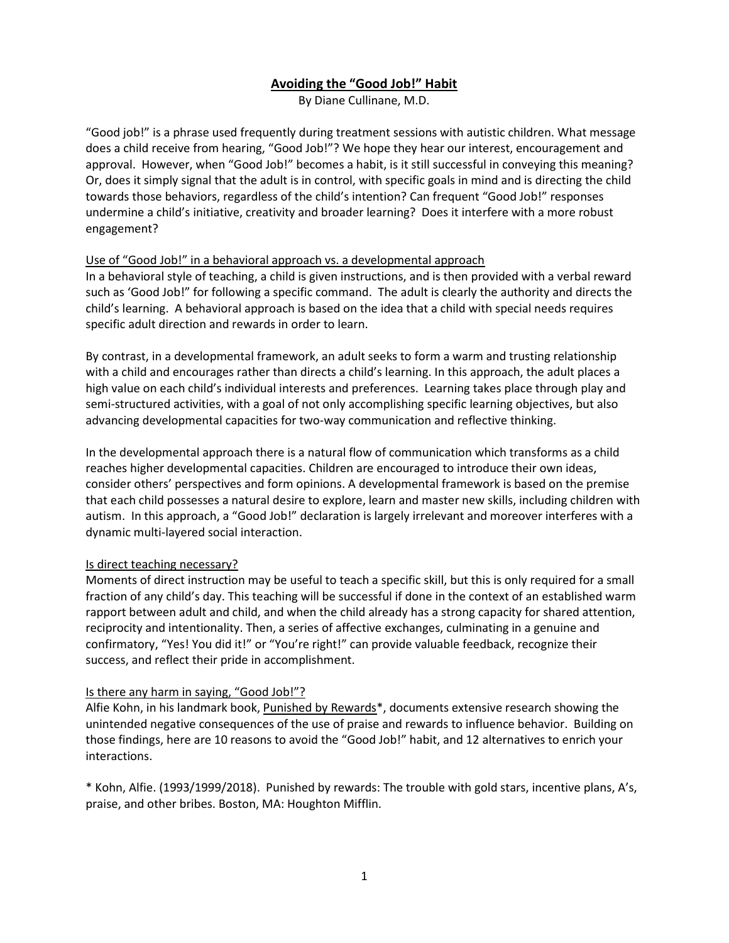# Avoiding the "Good Job!" Habit

By Diane Cullinane, M.D.

"Good job!" is a phrase used frequently during treatment sessions with autistic children. What message does a child receive from hearing, "Good Job!"? We hope they hear our interest, encouragement and approval. However, when "Good Job!" becomes a habit, is it still successful in conveying this meaning? Or, does it simply signal that the adult is in control, with specific goals in mind and is directing the child towards those behaviors, regardless of the child's intention? Can frequent "Good Job!" responses undermine a child's initiative, creativity and broader learning? Does it interfere with a more robust engagement?

### Use of "Good Job!" in a behavioral approach vs. a developmental approach

In a behavioral style of teaching, a child is given instructions, and is then provided with a verbal reward such as 'Good Job!" for following a specific command. The adult is clearly the authority and directs the child's learning. A behavioral approach is based on the idea that a child with special needs requires specific adult direction and rewards in order to learn.

By contrast, in a developmental framework, an adult seeks to form a warm and trusting relationship with a child and encourages rather than directs a child's learning. In this approach, the adult places a high value on each child's individual interests and preferences. Learning takes place through play and semi-structured activities, with a goal of not only accomplishing specific learning objectives, but also advancing developmental capacities for two-way communication and reflective thinking.

In the developmental approach there is a natural flow of communication which transforms as a child reaches higher developmental capacities. Children are encouraged to introduce their own ideas, consider others' perspectives and form opinions. A developmental framework is based on the premise that each child possesses a natural desire to explore, learn and master new skills, including children with autism. In this approach, a "Good Job!" declaration is largely irrelevant and moreover interferes with a dynamic multi-layered social interaction.

## Is direct teaching necessary?

Moments of direct instruction may be useful to teach a specific skill, but this is only required for a small fraction of any child's day. This teaching will be successful if done in the context of an established warm rapport between adult and child, and when the child already has a strong capacity for shared attention, reciprocity and intentionality. Then, a series of affective exchanges, culminating in a genuine and confirmatory, "Yes! You did it!" or "You're right!" can provide valuable feedback, recognize their success, and reflect their pride in accomplishment.

### Is there any harm in saying, "Good Job!"?

Alfie Kohn, in his landmark book, Punished by Rewards\*, documents extensive research showing the unintended negative consequences of the use of praise and rewards to influence behavior. Building on those findings, here are 10 reasons to avoid the "Good Job!" habit, and 12 alternatives to enrich your interactions.

\* Kohn, Alfie. (1993/1999/2018). Punished by rewards: The trouble with gold stars, incentive plans, A's, praise, and other bribes. Boston, MA: Houghton Mifflin.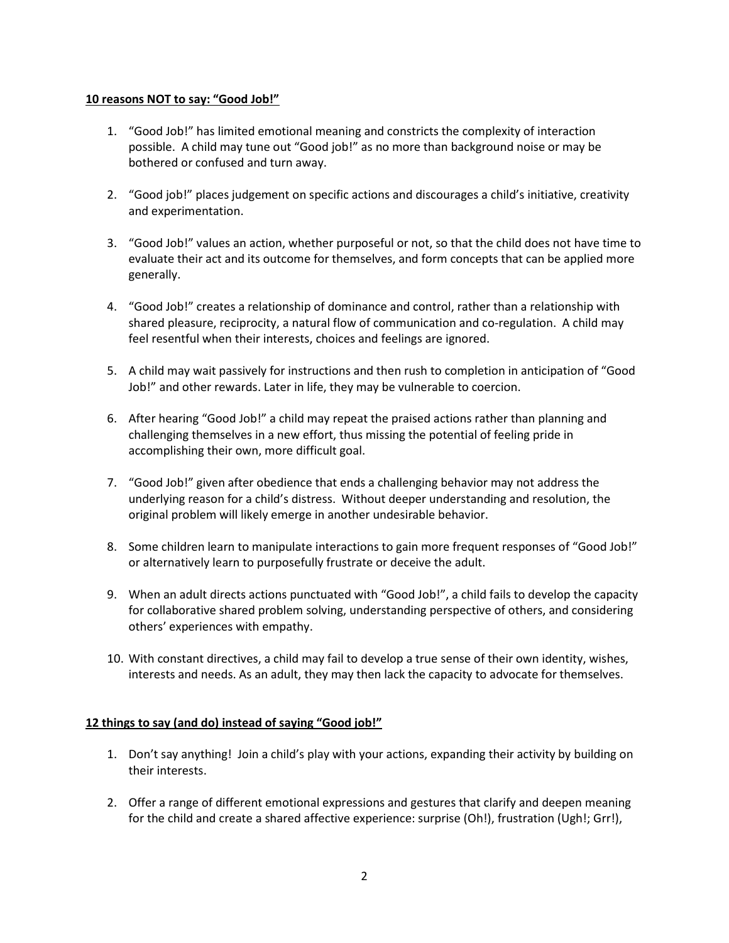#### 10 reasons NOT to say: "Good Job!"

- 1. "Good Job!" has limited emotional meaning and constricts the complexity of interaction possible. A child may tune out "Good job!" as no more than background noise or may be bothered or confused and turn away.
- 2. "Good job!" places judgement on specific actions and discourages a child's initiative, creativity and experimentation.
- 3. "Good Job!" values an action, whether purposeful or not, so that the child does not have time to evaluate their act and its outcome for themselves, and form concepts that can be applied more generally.
- 4. "Good Job!" creates a relationship of dominance and control, rather than a relationship with shared pleasure, reciprocity, a natural flow of communication and co-regulation. A child may feel resentful when their interests, choices and feelings are ignored.
- 5. A child may wait passively for instructions and then rush to completion in anticipation of "Good Job!" and other rewards. Later in life, they may be vulnerable to coercion.
- 6. After hearing "Good Job!" a child may repeat the praised actions rather than planning and challenging themselves in a new effort, thus missing the potential of feeling pride in accomplishing their own, more difficult goal.
- 7. "Good Job!" given after obedience that ends a challenging behavior may not address the underlying reason for a child's distress. Without deeper understanding and resolution, the original problem will likely emerge in another undesirable behavior.
- 8. Some children learn to manipulate interactions to gain more frequent responses of "Good Job!" or alternatively learn to purposefully frustrate or deceive the adult.
- 9. When an adult directs actions punctuated with "Good Job!", a child fails to develop the capacity for collaborative shared problem solving, understanding perspective of others, and considering others' experiences with empathy.
- 10. With constant directives, a child may fail to develop a true sense of their own identity, wishes, interests and needs. As an adult, they may then lack the capacity to advocate for themselves.

### 12 things to say (and do) instead of saying "Good job!"

- 1. Don't say anything! Join a child's play with your actions, expanding their activity by building on their interests.
- 2. Offer a range of different emotional expressions and gestures that clarify and deepen meaning for the child and create a shared affective experience: surprise (Oh!), frustration (Ugh!; Grr!),